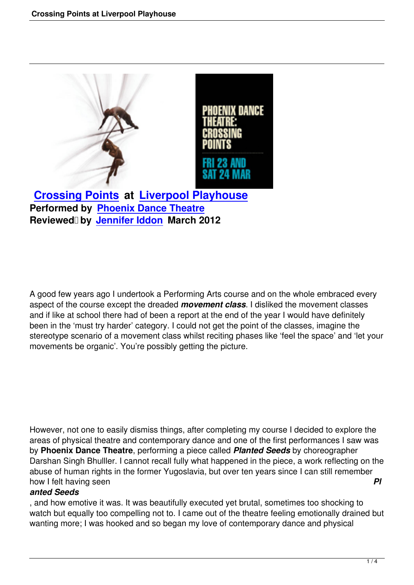

**Performed by Phoenix Dance Theatre [Reviewed by Jenni](crossing-points-liverpool-playhouse.html)fer [Iddon March 2012](http://www.everymanplayhouse.com/)**

A good few years ago I undertook a Performing Arts course and on the whole embraced every aspect of the course except the dreaded *movement class*. I disliked the movement classes and if like at school there had of been a report at the end of the year I would have definitely been in the 'must try harder' category. I could not get the point of the classes, imagine the stereotype scenario of a movement class whilst reciting phases like 'feel the space' and 'let your movements be organic'. You're possibly getting the picture.

However, not one to easily dismiss things, after completing my course I decided to explore the areas of physical theatre and contemporary dance and one of the first performances I saw was by **Phoenix Dance Theatre**, performing a piece called *Planted Seeds* by choreographer Darshan Singh Bhulller. I cannot recall fully what happened in the piece, a work reflecting on the abuse of human rights in the former Yugoslavia, but over ten years since I can still remember how I felt having seen *Pl*

## *anted Seeds*

, and how emotive it was. It was beautifully executed yet brutal, sometimes too shocking to watch but equally too compelling not to. I came out of the theatre feeling emotionally drained but wanting more; I was hooked and so began my love of contemporary dance and physical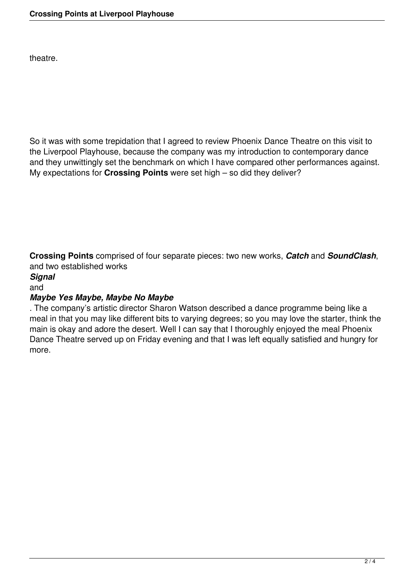theatre.

So it was with some trepidation that I agreed to review Phoenix Dance Theatre on this visit to the Liverpool Playhouse, because the company was my introduction to contemporary dance and they unwittingly set the benchmark on which I have compared other performances against. My expectations for **Crossing Points** were set high – so did they deliver?

**Crossing Points** comprised of four separate pieces: two new works, *Catch* and *SoundClash*, and two established works

## *Signal*

## and

## *Maybe Yes Maybe, Maybe No Maybe*

. The company's artistic director Sharon Watson described a dance programme being like a meal in that you may like different bits to varying degrees; so you may love the starter, think the main is okay and adore the desert. Well I can say that I thoroughly enjoyed the meal Phoenix Dance Theatre served up on Friday evening and that I was left equally satisfied and hungry for more.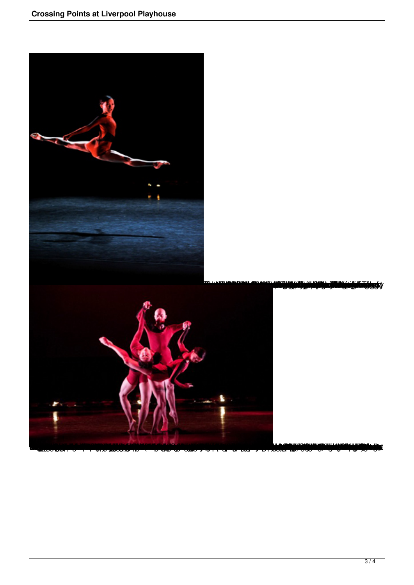